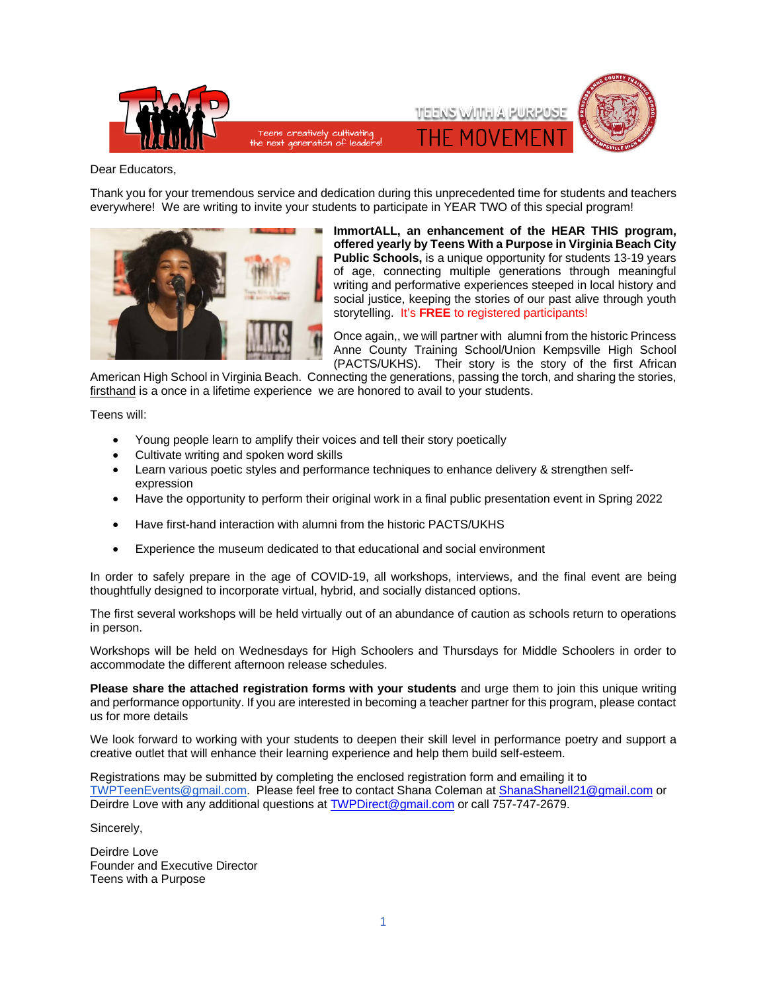

Dear Educators,

Thank you for your tremendous service and dedication during this unprecedented time for students and teachers everywhere! We are writing to invite your students to participate in YEAR TWO of this special program!



**ImmortALL, an enhancement of the HEAR THIS program, offered yearly by Teens With a Purpose in Virginia Beach City Public Schools,** is a unique opportunity for students 13-19 years of age, connecting multiple generations through meaningful writing and performative experiences steeped in local history and social justice, keeping the stories of our past alive through youth storytelling. It's **FREE** to registered participants!

Once again,, we will partner with alumni from the historic Princess Anne County Training School/Union Kempsville High School (PACTS/UKHS). Their story is the story of the first African

American High School in Virginia Beach. Connecting the generations, passing the torch, and sharing the stories, firsthand is a once in a lifetime experience we are honored to avail to your students.

Teens will:

- Young people learn to amplify their voices and tell their story poetically
- Cultivate writing and spoken word skills
- Learn various poetic styles and performance techniques to enhance delivery & strengthen selfexpression
- Have the opportunity to perform their original work in a final public presentation event in Spring 2022
- Have first-hand interaction with alumni from the historic PACTS/UKHS
- Experience the museum dedicated to that educational and social environment

In order to safely prepare in the age of COVID-19, all workshops, interviews, and the final event are being thoughtfully designed to incorporate virtual, hybrid, and socially distanced options.

The first several workshops will be held virtually out of an abundance of caution as schools return to operations in person.

Workshops will be held on Wednesdays for High Schoolers and Thursdays for Middle Schoolers in order to accommodate the different afternoon release schedules.

**Please share the attached registration forms with your students** and urge them to join this unique writing and performance opportunity. If you are interested in becoming a teacher partner for this program, please contact us for more details

We look forward to working with your students to deepen their skill level in performance poetry and support a creative outlet that will enhance their learning experience and help them build self-esteem.

Registrations may be submitted by completing the enclosed registration form and emailing it to [TWPTeenEvents@gmail.com.](mailto:TWPTeenEvents@gmail.com) Please feel free to contact Shana Coleman a[t ShanaShanell21@gmail.com](mailto:ShanaShanell21@gmail.com) or Deirdre Love with any additional questions a[t TWPDirect@gmail.com](mailto:TWPDirect@gmail.com) or call 757-747-2679.

Sincerely,

Deirdre Love Founder and Executive Director Teens with a Purpose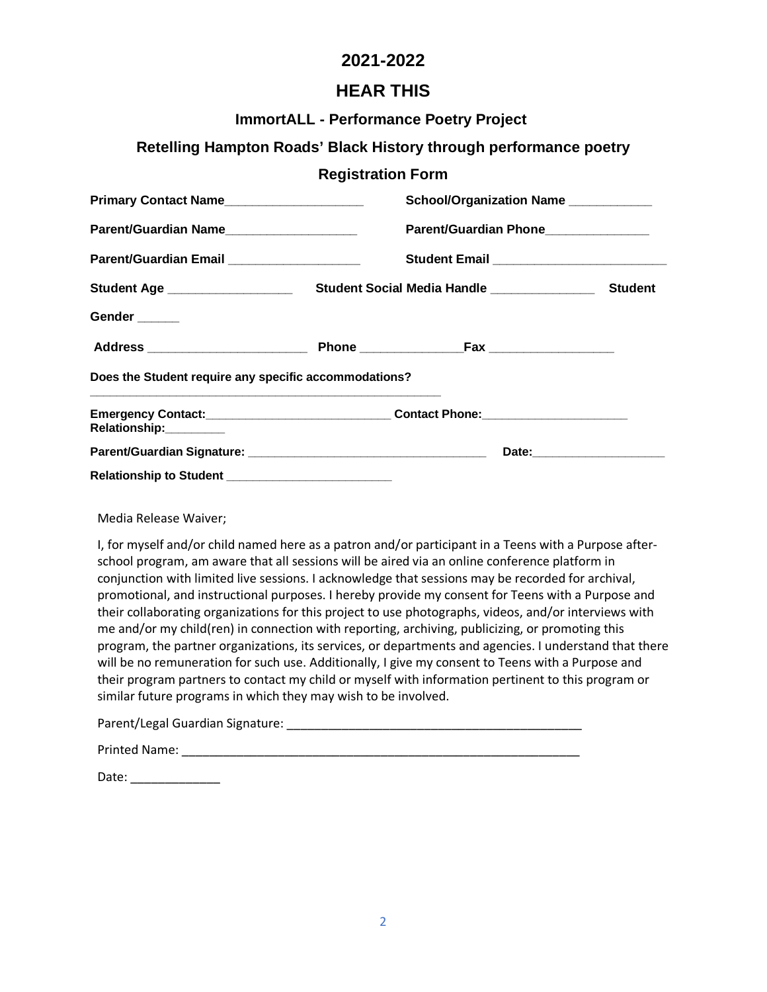## **2021-2022**

## **HEAR THIS**

### **ImmortALL - Performance Poetry Project**

## **Retelling Hampton Roads' Black History through performance poetry**

#### **Registration Form**

| Primary Contact Name                                  |                                                                                                                  | School/Organization Name                    |         |
|-------------------------------------------------------|------------------------------------------------------------------------------------------------------------------|---------------------------------------------|---------|
| Parent/Guardian Name                                  |                                                                                                                  | Parent/Guardian Phone________________       |         |
| Parent/Guardian Email _____________________           |                                                                                                                  |                                             |         |
| Student Age ___________________                       |                                                                                                                  | Student Social Media Handle _______________ | Student |
| Gender                                                |                                                                                                                  |                                             |         |
|                                                       |                                                                                                                  |                                             |         |
| Does the Student require any specific accommodations? |                                                                                                                  |                                             |         |
| Relationship:_________                                | and the control of the control of the control of the control of the control of the control of the control of the |                                             |         |
|                                                       |                                                                                                                  |                                             |         |
|                                                       |                                                                                                                  |                                             |         |

Media Release Waiver;

I, for myself and/or child named here as a patron and/or participant in a Teens with a Purpose afterschool program, am aware that all sessions will be aired via an online conference platform in conjunction with limited live sessions. I acknowledge that sessions may be recorded for archival, promotional, and instructional purposes. I hereby provide my consent for Teens with a Purpose and their collaborating organizations for this project to use photographs, videos, and/or interviews with me and/or my child(ren) in connection with reporting, archiving, publicizing, or promoting this program, the partner organizations, its services, or departments and agencies. I understand that there will be no remuneration for such use. Additionally, I give my consent to Teens with a Purpose and their program partners to contact my child or myself with information pertinent to this program or similar future programs in which they may wish to be involved.

| Parent/Legal Guardian Signature: |  |
|----------------------------------|--|
|                                  |  |

| <b>Printed Name:</b> |  |
|----------------------|--|
|                      |  |

Date: \_\_\_\_\_\_\_\_\_\_\_\_\_\_\_\_\_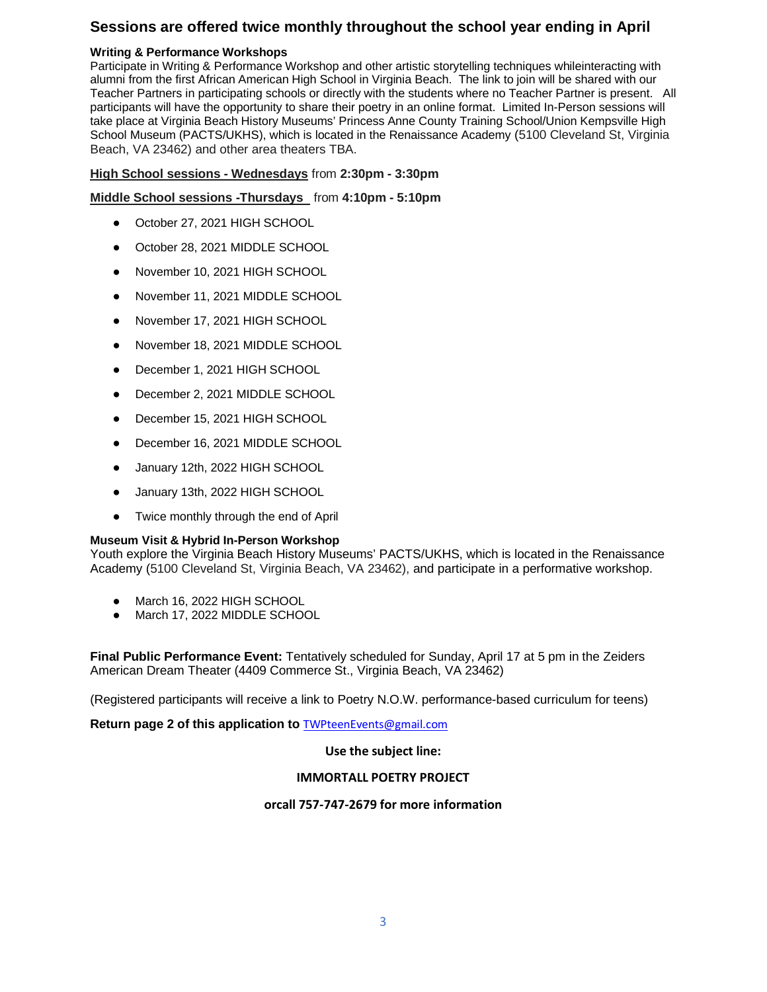## **Sessions are offered twice monthly throughout the school year ending in April**

#### **Writing & Performance Workshops**

Participate in Writing & Performance Workshop and other artistic storytelling techniques whileinteracting with alumni from the first African American High School in Virginia Beach. The link to join will be shared with our Teacher Partners in participating schools or directly with the students where no Teacher Partner is present. All participants will have the opportunity to share their poetry in an online format. Limited In-Person sessions will take place at Virginia Beach History Museums' Princess Anne County Training School/Union Kempsville High School Museum (PACTS/UKHS), which is located in the Renaissance Academy (5100 Cleveland St, Virginia Beach, VA 23462) and other area theaters TBA.

#### **High School sessions - Wednesdays** from **2:30pm - 3:30pm**

#### **Middle School sessions -Thursdays** from **4:10pm - 5:10pm**

- October 27, 2021 HIGH SCHOOL
- October 28, 2021 MIDDLE SCHOOL
- November 10, 2021 HIGH SCHOOL
- November 11, 2021 MIDDLE SCHOOL
- November 17, 2021 HIGH SCHOOL
- November 18, 2021 MIDDLE SCHOOL
- December 1, 2021 HIGH SCHOOL
- December 2, 2021 MIDDLE SCHOOL
- December 15, 2021 HIGH SCHOOL
- December 16, 2021 MIDDLE SCHOOL
- January 12th, 2022 HIGH SCHOOL
- January 13th, 2022 HIGH SCHOOL
- Twice monthly through the end of April

#### **Museum Visit & Hybrid In-Person Workshop**

Youth explore the Virginia Beach History Museums' PACTS/UKHS, which is located in the Renaissance Academy (5100 Cleveland St, Virginia Beach, VA 23462), and participate in a performative workshop.

- March 16, 2022 HIGH SCHOOL
- March 17, 2022 MIDDLE SCHOOL

**Final Public Performance Event:** Tentatively scheduled for Sunday, April 17 at 5 pm in the Zeiders American Dream Theater (4409 Commerce St., Virginia Beach, VA 23462)

(Registered participants will receive a link to Poetry N.O.W. performance-based curriculum for teens)

**Return page 2 of this application to** [TWPteenEvents@gmail.com](mailto:TWPteenEvents@gmail.com) 

#### **Use the subject line:**

#### **IMMORTALL POETRY PROJECT**

#### **orcall 757-747-2679 for more information**